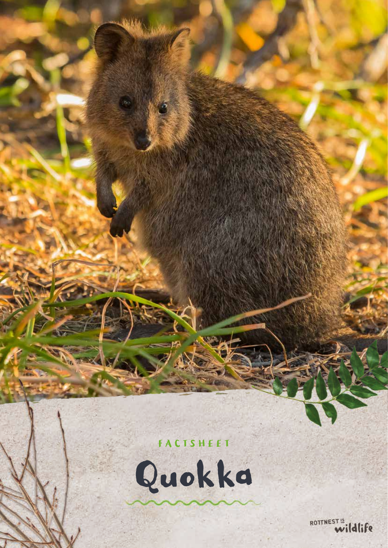# FACTSHEET

Quokka

ROTTNEST<sup>15</sup> wildlife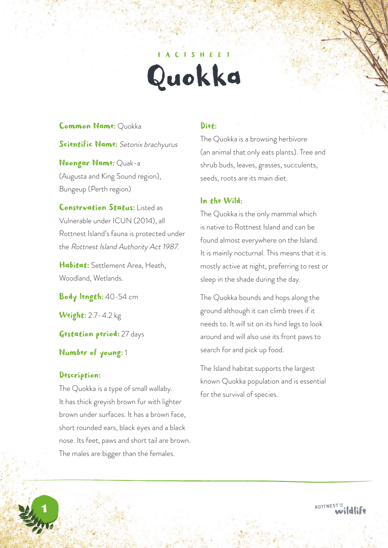# **ACTSHEET** Quokka

#### Common Name: Quokka

Scientific Name: Setonix brachyurus

Noongar Name: Quak-a (Augusta and King Sound region), Bungeup (Perth region)

Conservation Status: Listed as Vulnerable under ICUN (2014), all Rottnest Island's fauna is protected under the Rottnest Island Authority Act 1987.

Habitat: Settlement Area, Heath, Woodland, Wetlands.

Body length: 40-54 cm

**Weight:** 2.7-4.2 kg

Gestation period: 27 days

Number of young: 1

## Description:

1

The Quokka is a type of small wallaby. It has thick greyish brown fur with lighter brown under surfaces. It has a brown face, short rounded ears, black eyes and a black nose. Its feet, paws and short tail are brown. The males are bigger than the females.

# Diet:

The Quokka is a browsing herbivore (an animal that only eats plants). Tree and shrub buds, leaves, grasses, succulents, seeds, roots are its main diet.

# In the Wild:

The Quokka is the only mammal which is native to Rottnest Island and can be found almost everywhere on the Island. It is mainly nocturnal. This means that it is mostly active at night, preferring to rest or sleep in the shade during the day.

The Quokka bounds and hops along the ground although it can climb trees if it needs to. It will sit on its hind legs to look around and will also use its front paws to search for and pick up food.

The Island habitat supports the largest known Quokka population and is essential for the survival of species.